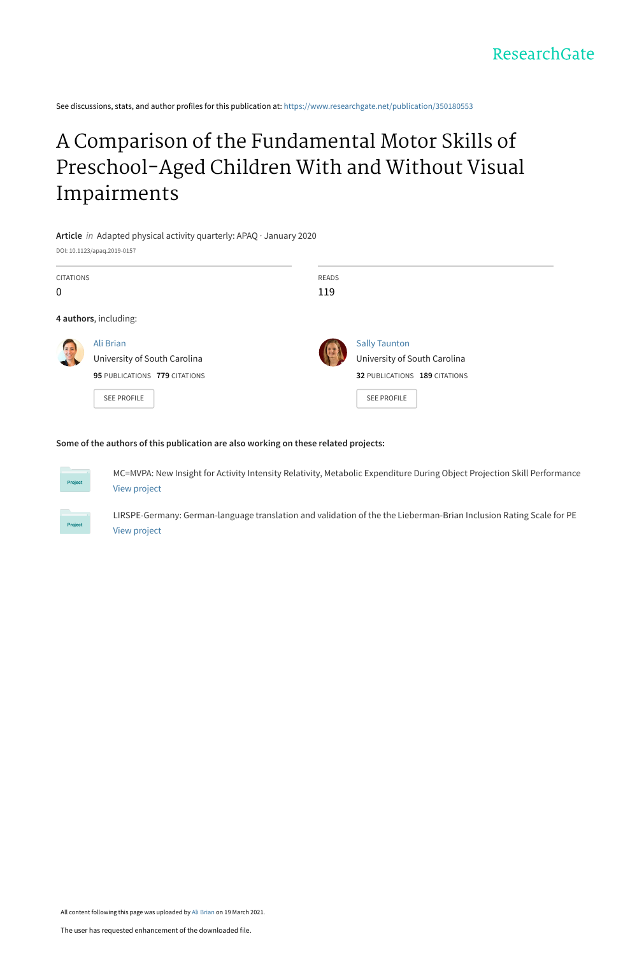See discussions, stats, and author profiles for this publication at: [https://www.researchgate.net/publication/350180553](https://www.researchgate.net/publication/350180553_A_Comparison_of_the_Fundamental_Motor_Skills_of_Preschool-Aged_Children_With_and_Without_Visual_Impairments?enrichId=rgreq-ab581017afd4a380af6a3501c484a11a-XXX&enrichSource=Y292ZXJQYWdlOzM1MDE4MDU1MztBUzoxMDAzMDcxNTA5MzY0NzQyQDE2MTYxNjIyOTI0OTc%3D&el=1_x_2&_esc=publicationCoverPdf)

## A Comparison of the Fundamental Motor Skills of [Preschool-Aged Children With and Without Visual](https://www.researchgate.net/publication/350180553_A_Comparison_of_the_Fundamental_Motor_Skills_of_Preschool-Aged_Children_With_and_Without_Visual_Impairments?enrichId=rgreq-ab581017afd4a380af6a3501c484a11a-XXX&enrichSource=Y292ZXJQYWdlOzM1MDE4MDU1MztBUzoxMDAzMDcxNTA5MzY0NzQyQDE2MTYxNjIyOTI0OTc%3D&el=1_x_3&_esc=publicationCoverPdf) Impairments

**Article** in Adapted physical activity quarterly: APAQ · January 2020 DOI: 10.1123/apaq.2019-0157

| <b>CITATIONS</b><br>$\mathbf{0}$ |                                                                                                  | READS<br>119 |                                                                                                             |  |  |  |
|----------------------------------|--------------------------------------------------------------------------------------------------|--------------|-------------------------------------------------------------------------------------------------------------|--|--|--|
| 4 authors, including:            |                                                                                                  |              |                                                                                                             |  |  |  |
| 国際                               | Ali Brian<br>University of South Carolina<br>95 PUBLICATIONS 779 CITATIONS<br><b>SEE PROFILE</b> |              | <b>Sally Taunton</b><br>University of South Carolina<br>32 PUBLICATIONS 189 CITATIONS<br><b>SEE PROFILE</b> |  |  |  |

#### **Some of the authors of this publication are also working on these related projects:**



MC=MVPA: New Insight for Activity Intensity Relativity, Metabolic Expenditure During Object Projection Skill Performance [View project](https://www.researchgate.net/project/MCMVPA-New-Insight-for-Activity-Intensity-Relativity-Metabolic-Expenditure-During-Object-Projection-Skill-Performance?enrichId=rgreq-ab581017afd4a380af6a3501c484a11a-XXX&enrichSource=Y292ZXJQYWdlOzM1MDE4MDU1MztBUzoxMDAzMDcxNTA5MzY0NzQyQDE2MTYxNjIyOTI0OTc%3D&el=1_x_9&_esc=publicationCoverPdf)

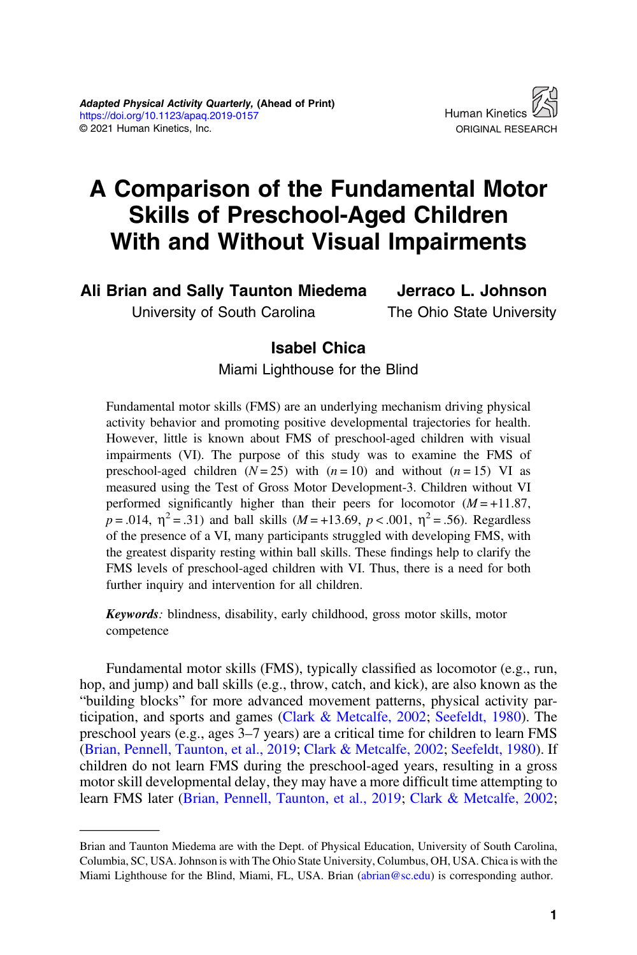

# A Comparison of the Fundamental Motor Skills of Preschool-Aged Children With and Without Visual Impairments

Ali Brian and Sally Taunton Miedema Jerraco L. Johnson

University of South Carolina

The Ohio State University

## Isabel Chica

Miami Lighthouse for the Blind

Fundamental motor skills (FMS) are an underlying mechanism driving physical activity behavior and promoting positive developmental trajectories for health. However, little is known about FMS of preschool-aged children with visual impairments (VI). The purpose of this study was to examine the FMS of preschool-aged children  $(N = 25)$  with  $(n = 10)$  and without  $(n = 15)$  VI as measured using the Test of Gross Motor Development-3. Children without VI performed significantly higher than their peers for locomotor  $(M = +11.87$ ,  $p = .014$ ,  $\eta^2 = .31$ ) and ball skills ( $M = +13.69$ ,  $p < .001$ ,  $\eta^2 = .56$ ). Regardless of the presence of a VI, many participants struggled with developing FMS, with the greatest disparity resting within ball skills. These findings help to clarify the FMS levels of preschool-aged children with VI. Thus, there is a need for both further inquiry and intervention for all children.

Keywords: blindness, disability, early childhood, gross motor skills, motor competence

Fundamental motor skills (FMS), typically classified as locomotor (e.g., run, hop, and jump) and ball skills (e.g., throw, catch, and kick), are also known as the "building blocks" for more advanced movement patterns, physical activity participation, and sports and games ([Clark & Metcalfe, 2002](#page-9-0); [Seefeldt, 1980](#page-10-0)). The preschool years (e.g., ages 3–7 years) are a critical time for children to learn FMS [\(Brian, Pennell, Taunton, et al., 2019](#page-9-0); [Clark & Metcalfe, 2002;](#page-9-0) [Seefeldt, 1980](#page-10-0)). If children do not learn FMS during the preschool-aged years, resulting in a gross motor skill developmental delay, they may have a more difficult time attempting to learn FMS later [\(Brian, Pennell, Taunton, et al., 2019](#page-9-0); [Clark & Metcalfe, 2002](#page-9-0);

Brian and Taunton Miedema are with the Dept. of Physical Education, University of South Carolina, Columbia, SC, USA. Johnson is with The Ohio State University, Columbus, OH, USA. Chica is with the Miami Lighthouse for the Blind, Miami, FL, USA. Brian ([abrian@sc.edu](mailto:abrian@sc.edu)) is corresponding author.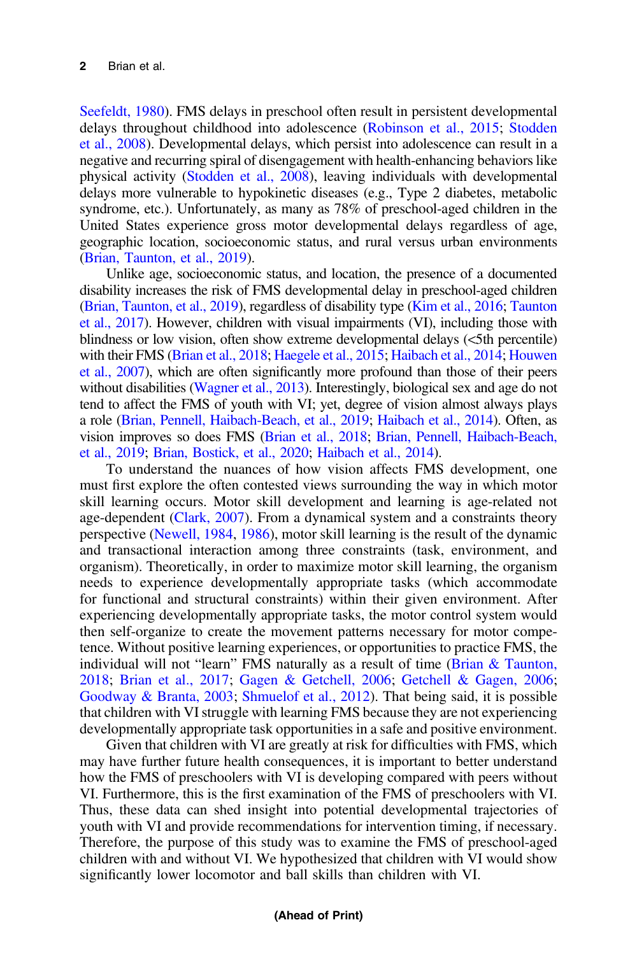[Seefeldt, 1980](#page-10-0)). FMS delays in preschool often result in persistent developmental delays throughout childhood into adolescence [\(Robinson et al., 2015;](#page-10-0) [Stodden](#page-10-0) [et al., 2008](#page-10-0)). Developmental delays, which persist into adolescence can result in a negative and recurring spiral of disengagement with health-enhancing behaviors like physical activity ([Stodden et al., 2008\)](#page-10-0), leaving individuals with developmental delays more vulnerable to hypokinetic diseases (e.g., Type 2 diabetes, metabolic syndrome, etc.). Unfortunately, as many as 78% of preschool-aged children in the United States experience gross motor developmental delays regardless of age, geographic location, socioeconomic status, and rural versus urban environments [\(Brian, Taunton, et al., 2019](#page-9-0)).

Unlike age, socioeconomic status, and location, the presence of a documented disability increases the risk of FMS developmental delay in preschool-aged children [\(Brian, Taunton, et al., 2019\)](#page-9-0), regardless of disability type [\(Kim et al., 2016](#page-10-0); [Taunton](#page-10-0) [et al., 2017\)](#page-10-0). However, children with visual impairments (VI), including those with blindness or low vision, often show extreme developmental delays (<5th percentile) with their FMS ([Brian et al., 2018](#page-9-0); [Haegele et al., 2015;](#page-9-0) [Haibach et al., 2014;](#page-9-0) [Houwen](#page-10-0) [et al., 2007](#page-10-0)), which are often significantly more profound than those of their peers without disabilities ([Wagner et al., 2013](#page-10-0)). Interestingly, biological sex and age do not tend to affect the FMS of youth with VI; yet, degree of vision almost always plays a role [\(Brian, Pennell, Haibach-Beach, et al., 2019](#page-9-0); [Haibach et al., 2014](#page-9-0)). Often, as vision improves so does FMS [\(Brian et al., 2018;](#page-9-0) [Brian, Pennell, Haibach-Beach,](#page-9-0) [et al., 2019](#page-9-0); [Brian, Bostick, et al., 2020](#page-8-0); [Haibach et al., 2014](#page-9-0)).

To understand the nuances of how vision affects FMS development, one must first explore the often contested views surrounding the way in which motor skill learning occurs. Motor skill development and learning is age-related not age-dependent [\(Clark, 2007\)](#page-9-0). From a dynamical system and a constraints theory perspective ([Newell, 1984](#page-10-0), [1986\)](#page-10-0), motor skill learning is the result of the dynamic and transactional interaction among three constraints (task, environment, and organism). Theoretically, in order to maximize motor skill learning, the organism needs to experience developmentally appropriate tasks (which accommodate for functional and structural constraints) within their given environment. After experiencing developmentally appropriate tasks, the motor control system would then self-organize to create the movement patterns necessary for motor competence. Without positive learning experiences, or opportunities to practice FMS, the individual will not "learn" FMS naturally as a result of time ([Brian & Taunton,](#page-9-0) [2018](#page-9-0); [Brian et al., 2017](#page-8-0); [Gagen & Getchell, 2006](#page-9-0); [Getchell & Gagen, 2006](#page-9-0); [Goodway & Branta, 2003](#page-9-0); [Shmuelof et al., 2012\)](#page-10-0). That being said, it is possible that children with VI struggle with learning FMS because they are not experiencing developmentally appropriate task opportunities in a safe and positive environment.

Given that children with VI are greatly at risk for difficulties with FMS, which may have further future health consequences, it is important to better understand how the FMS of preschoolers with VI is developing compared with peers without VI. Furthermore, this is the first examination of the FMS of preschoolers with VI. Thus, these data can shed insight into potential developmental trajectories of youth with VI and provide recommendations for intervention timing, if necessary. Therefore, the purpose of this study was to examine the FMS of preschool-aged children with and without VI. We hypothesized that children with VI would show significantly lower locomotor and ball skills than children with VI.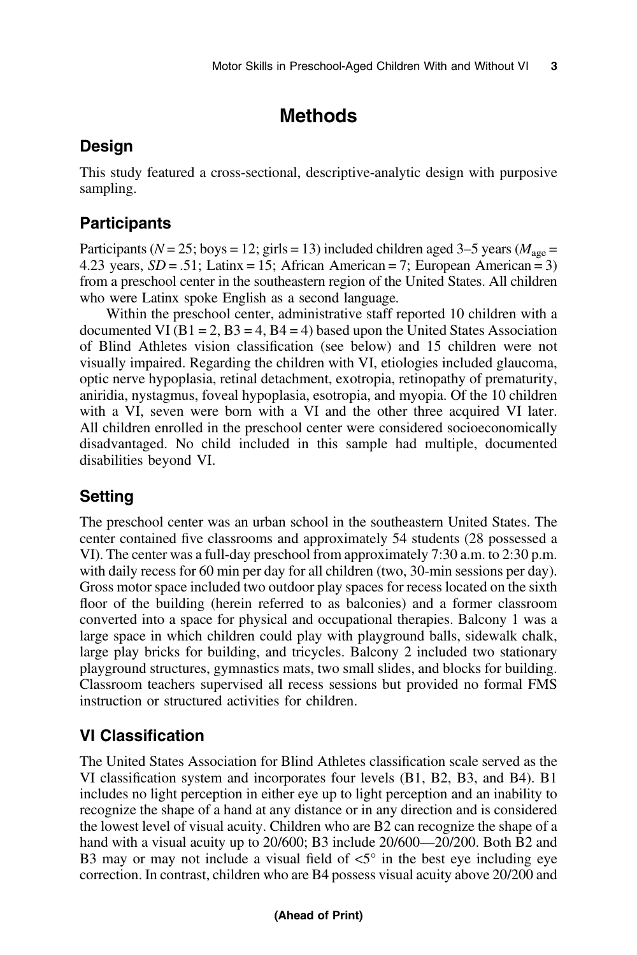## Methods

## Design

This study featured a cross-sectional, descriptive-analytic design with purposive sampling.

## **Participants**

Participants ( $N = 25$ ; boys = 12; girls = 13) included children aged 3–5 years ( $M_{\text{age}}$  = 4.23 years,  $SD = .51$ ; Latinx = 15; African American = 7; European American = 3) from a preschool center in the southeastern region of the United States. All children who were Latinx spoke English as a second language.

Within the preschool center, administrative staff reported 10 children with a documented VI ( $B1 = 2$ ,  $B3 = 4$ ,  $B4 = 4$ ) based upon the United States Association of Blind Athletes vision classification (see below) and 15 children were not visually impaired. Regarding the children with VI, etiologies included glaucoma, optic nerve hypoplasia, retinal detachment, exotropia, retinopathy of prematurity, aniridia, nystagmus, foveal hypoplasia, esotropia, and myopia. Of the 10 children with a VI, seven were born with a VI and the other three acquired VI later. All children enrolled in the preschool center were considered socioeconomically disadvantaged. No child included in this sample had multiple, documented disabilities beyond VI.

## Setting

The preschool center was an urban school in the southeastern United States. The center contained five classrooms and approximately 54 students (28 possessed a VI). The center was a full-day preschool from approximately 7:30 a.m. to 2:30 p.m. with daily recess for 60 min per day for all children (two, 30-min sessions per day). Gross motor space included two outdoor play spaces for recess located on the sixth floor of the building (herein referred to as balconies) and a former classroom converted into a space for physical and occupational therapies. Balcony 1 was a large space in which children could play with playground balls, sidewalk chalk, large play bricks for building, and tricycles. Balcony 2 included two stationary playground structures, gymnastics mats, two small slides, and blocks for building. Classroom teachers supervised all recess sessions but provided no formal FMS instruction or structured activities for children.

## VI Classification

The United States Association for Blind Athletes classification scale served as the VI classification system and incorporates four levels (B1, B2, B3, and B4). B1 includes no light perception in either eye up to light perception and an inability to recognize the shape of a hand at any distance or in any direction and is considered the lowest level of visual acuity. Children who are B2 can recognize the shape of a hand with a visual acuity up to 20/600; B3 include 20/600—20/200. Both B2 and B3 may or may not include a visual field of  $\leq 5^\circ$  in the best eye including eye correction. In contrast, children who are B4 possess visual acuity above 20/200 and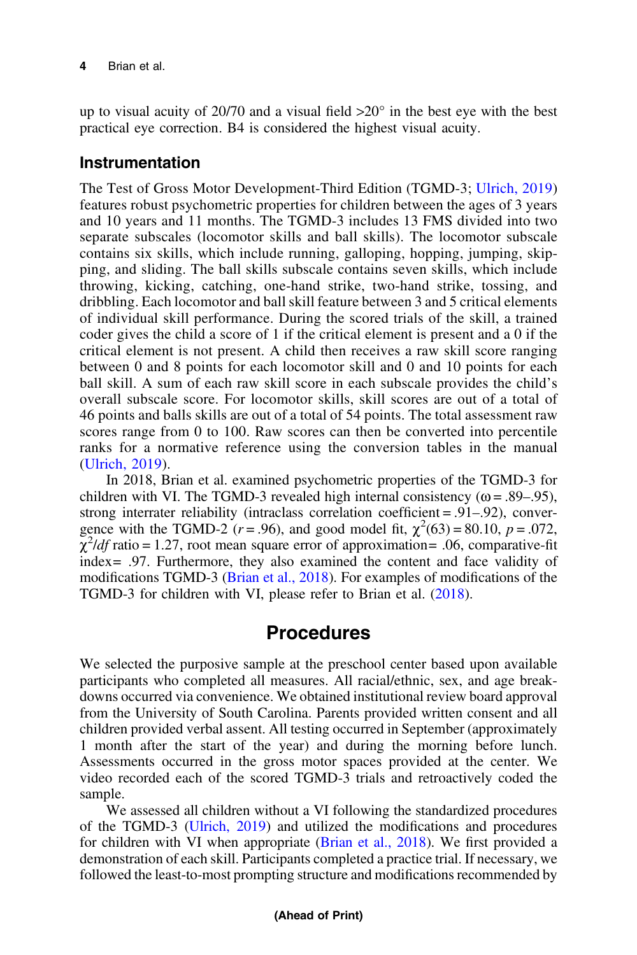up to visual acuity of 20/70 and a visual field  $>20^\circ$  in the best eye with the best practical eye correction. B4 is considered the highest visual acuity.

#### Instrumentation

The Test of Gross Motor Development-Third Edition (TGMD-3; [Ulrich, 2019\)](#page-10-0) features robust psychometric properties for children between the ages of 3 years and 10 years and 11 months. The TGMD-3 includes 13 FMS divided into two separate subscales (locomotor skills and ball skills). The locomotor subscale contains six skills, which include running, galloping, hopping, jumping, skipping, and sliding. The ball skills subscale contains seven skills, which include throwing, kicking, catching, one-hand strike, two-hand strike, tossing, and dribbling. Each locomotor and ball skill feature between 3 and 5 critical elements of individual skill performance. During the scored trials of the skill, a trained coder gives the child a score of 1 if the critical element is present and a 0 if the critical element is not present. A child then receives a raw skill score ranging between 0 and 8 points for each locomotor skill and 0 and 10 points for each ball skill. A sum of each raw skill score in each subscale provides the child's overall subscale score. For locomotor skills, skill scores are out of a total of 46 points and balls skills are out of a total of 54 points. The total assessment raw scores range from 0 to 100. Raw scores can then be converted into percentile ranks for a normative reference using the conversion tables in the manual [\(Ulrich, 2019\)](#page-10-0).

In 2018, Brian et al. examined psychometric properties of the TGMD-3 for children with VI. The TGMD-3 revealed high internal consistency ( $\omega = .89-.95$ ), strong interrater reliability (intraclass correlation coefficient = .91–.92), convergence with the TGMD-2 ( $r = .96$ ), and good model fit,  $\chi^2(63) = 80.10$ ,  $p = .072$ ,  $\chi^2$ *ldf* ratio = 1.27, root mean square error of approximation= .06, comparative-fit index= .97. Furthermore, they also examined the content and face validity of modifications TGMD-3 ([Brian et al., 2018\)](#page-9-0). For examples of modifications of the TGMD-3 for children with VI, please refer to Brian et al. [\(2018](#page-9-0)).

## Procedures

We selected the purposive sample at the preschool center based upon available participants who completed all measures. All racial/ethnic, sex, and age breakdowns occurred via convenience. We obtained institutional review board approval from the University of South Carolina. Parents provided written consent and all children provided verbal assent. All testing occurred in September (approximately 1 month after the start of the year) and during the morning before lunch. Assessments occurred in the gross motor spaces provided at the center. We video recorded each of the scored TGMD-3 trials and retroactively coded the sample.

We assessed all children without a VI following the standardized procedures of the TGMD-3 [\(Ulrich, 2019](#page-10-0)) and utilized the modifications and procedures for children with VI when appropriate [\(Brian et al., 2018](#page-9-0)). We first provided a demonstration of each skill. Participants completed a practice trial. If necessary, we followed the least-to-most prompting structure and modifications recommended by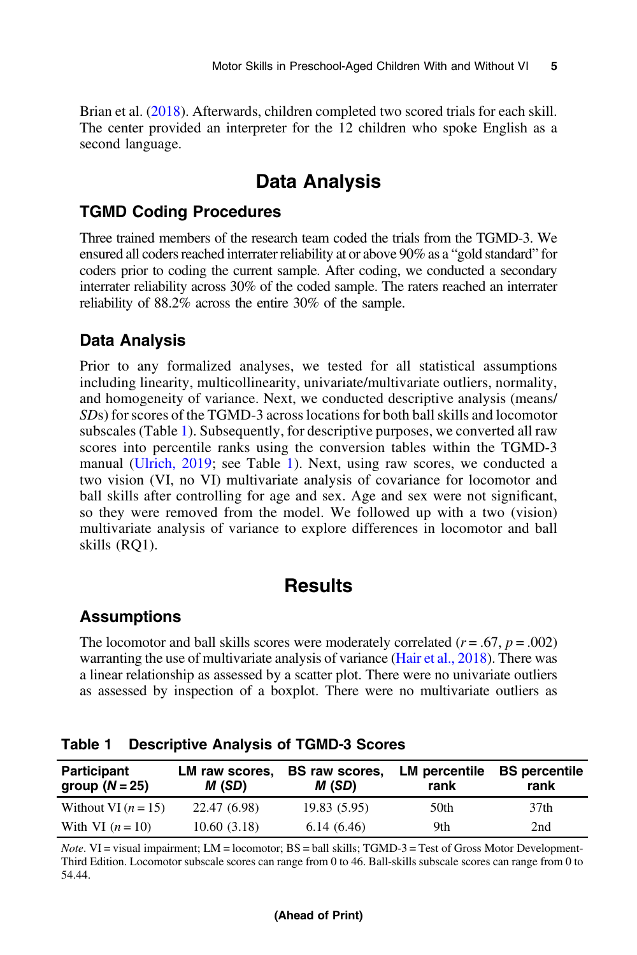<span id="page-5-0"></span>Brian et al. [\(2018\)](#page-9-0). Afterwards, children completed two scored trials for each skill. The center provided an interpreter for the 12 children who spoke English as a second language.

## Data Analysis

#### TGMD Coding Procedures

Three trained members of the research team coded the trials from the TGMD-3. We ensured all coders reached interrater reliability at or above 90% as a "gold standard" for coders prior to coding the current sample. After coding, we conducted a secondary interrater reliability across 30% of the coded sample. The raters reached an interrater reliability of 88.2% across the entire 30% of the sample.

#### Data Analysis

Prior to any formalized analyses, we tested for all statistical assumptions including linearity, multicollinearity, univariate/multivariate outliers, normality, and homogeneity of variance. Next, we conducted descriptive analysis (means/ SDs) for scores of the TGMD-3 across locations for both ball skills and locomotor subscales (Table 1). Subsequently, for descriptive purposes, we converted all raw scores into percentile ranks using the conversion tables within the TGMD-3 manual ([Ulrich, 2019;](#page-10-0) see Table 1). Next, using raw scores, we conducted a two vision (VI, no VI) multivariate analysis of covariance for locomotor and ball skills after controlling for age and sex. Age and sex were not significant, so they were removed from the model. We followed up with a two (vision) multivariate analysis of variance to explore differences in locomotor and ball skills (RQ1).

## **Results**

### Assumptions

The locomotor and ball skills scores were moderately correlated  $(r = .67, p = .002)$ warranting the use of multivariate analysis of variance [\(Hair et al., 2018](#page-10-0)). There was a linear relationship as assessed by a scatter plot. There were no univariate outliers as assessed by inspection of a boxplot. There were no multivariate outliers as

| Participant<br>group $(N = 25)$ | LM raw scores,<br>M (SD) | <b>BS</b> raw scores,<br>M (SD) | LM percentile<br>rank | <b>BS</b> percentile<br>rank |
|---------------------------------|--------------------------|---------------------------------|-----------------------|------------------------------|
| Without VI $(n = 15)$           | 22.47 (6.98)             | 19.83(5.95)                     | 50th                  | 37th                         |
| With VI $(n=10)$                | 10.60(3.18)              | 6.14(6.46)                      | 9th                   | 2nd                          |

Table 1 Descriptive Analysis of TGMD-3 Scores

 $Note. VI = visual impairment; LM = locomotor; BS = ball skills; TGMD-3 = Test of Gross Motor Development-1$ Third Edition. Locomotor subscale scores can range from 0 to 46. Ball-skills subscale scores can range from 0 to 54.44.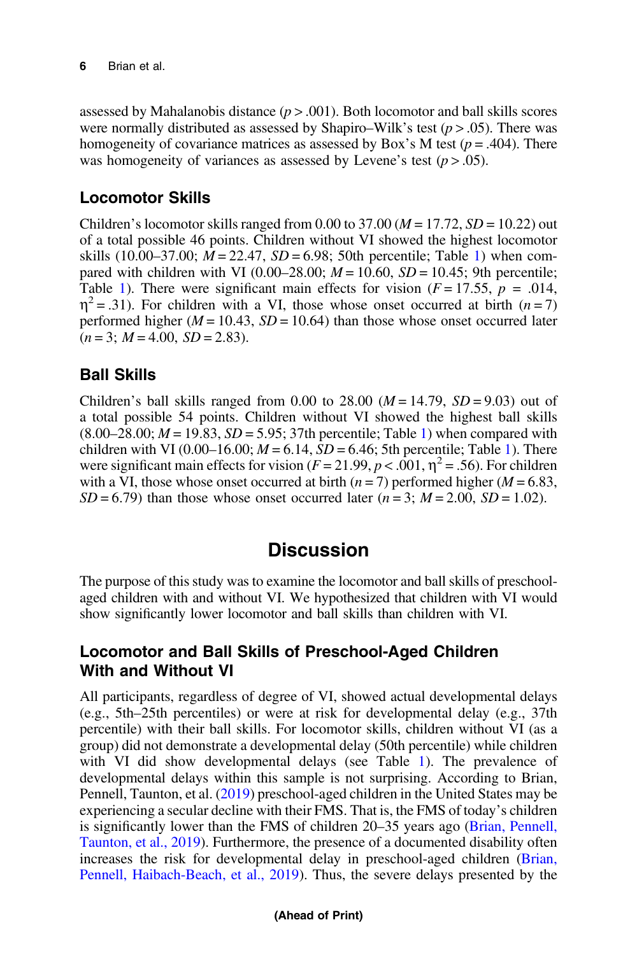assessed by Mahalanobis distance  $(p > .001)$ . Both locomotor and ball skills scores were normally distributed as assessed by Shapiro–Wilk's test ( $p > .05$ ). There was homogeneity of covariance matrices as assessed by Box's M test ( $p = .404$ ). There was homogeneity of variances as assessed by Levene's test  $(p > .05)$ .

### Locomotor Skills

Children's locomotor skills ranged from 0.00 to 37.00 ( $M = 17.72$ ,  $SD = 10.22$ ) out of a total possible 46 points. Children without VI showed the highest locomotor skills  $(10.00-37.00; M = 22.47, SD = 6.98; 50th percentile; Table 1)$  $(10.00-37.00; M = 22.47, SD = 6.98; 50th percentile; Table 1)$  $(10.00-37.00; M = 22.47, SD = 6.98; 50th percentile; Table 1)$  when compared with children with VI (0.00–28.00;  $M = 10.60$ ,  $SD = 10.45$ ; 9th percentile; Table [1\)](#page-5-0). There were significant main effects for vision ( $F = 17.55$ ,  $p = .014$ ,  $\eta^2$  = .31). For children with a VI, those whose onset occurred at birth (*n* = 7) performed higher ( $M = 10.43$ ,  $SD = 10.64$ ) than those whose onset occurred later  $(n = 3; M = 4.00, SD = 2.83).$ 

### Ball Skills

Children's ball skills ranged from 0.00 to 28.00  $(M = 14.79, SD = 9.03)$  out of a total possible 54 points. Children without VI showed the highest ball skills  $(8.00-28.00; M = 19.83, SD = 5.95; 37th percentile; Table 1)$  $(8.00-28.00; M = 19.83, SD = 5.95; 37th percentile; Table 1)$  when compared with children with VI (0.00–[1](#page-5-0)6.00;  $M = 6.14$ ,  $SD = 6.46$ ; 5th percentile; Table 1). There were significant main effects for vision ( $F = 21.99$ ,  $p < .001$ ,  $\eta^2 = .56$ ). For children with a VI, those whose onset occurred at birth ( $n = 7$ ) performed higher ( $M = 6.83$ ,  $SD = 6.79$ ) than those whose onset occurred later  $(n = 3; M = 2.00, SD = 1.02)$ .

## **Discussion**

The purpose of this study was to examine the locomotor and ball skills of preschoolaged children with and without VI. We hypothesized that children with VI would show significantly lower locomotor and ball skills than children with VI.

#### Locomotor and Ball Skills of Preschool-Aged Children With and Without VI

All participants, regardless of degree of VI, showed actual developmental delays (e.g., 5th–25th percentiles) or were at risk for developmental delay (e.g., 37th percentile) with their ball skills. For locomotor skills, children without VI (as a group) did not demonstrate a developmental delay (50th percentile) while children with VI did show developmental delays (see Table [1\)](#page-5-0). The prevalence of developmental delays within this sample is not surprising. According to Brian, Pennell, Taunton, et al. [\(2019\)](#page-9-0) preschool-aged children in the United States may be experiencing a secular decline with their FMS. That is, the FMS of today's children is significantly lower than the FMS of children 20–35 years ago [\(Brian, Pennell,](#page-9-0) [Taunton, et al., 2019](#page-9-0)). Furthermore, the presence of a documented disability often increases the risk for developmental delay in preschool-aged children [\(Brian,](#page-9-0) [Pennell, Haibach-Beach, et al., 2019\)](#page-9-0). Thus, the severe delays presented by the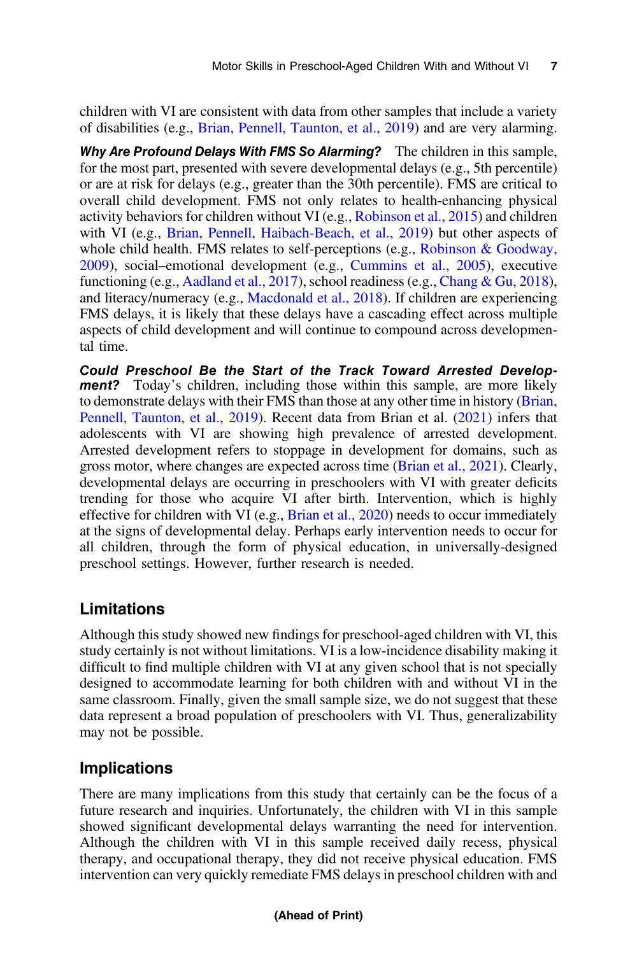children with VI are consistent with data from other samples that include a variety of disabilities (e.g., [Brian, Pennell, Taunton, et al., 2019\)](#page-9-0) and are very alarming.

Why Are Profound Delays With FMS So Alarming? The children in this sample, for the most part, presented with severe developmental delays (e.g., 5th percentile) or are at risk for delays (e.g., greater than the 30th percentile). FMS are critical to overall child development. FMS not only relates to health-enhancing physical activity behaviors for children without VI (e.g., [Robinson et al., 2015](#page-10-0)) and children with VI (e.g., [Brian, Pennell, Haibach-Beach, et al., 2019](#page-9-0)) but other aspects of whole child health. FMS relates to self-perceptions (e.g., [Robinson & Goodway,](#page-10-0) [2009](#page-10-0)), social–emotional development (e.g., [Cummins et al., 2005\)](#page-9-0), executive functioning (e.g., [Aadland et al., 2017](#page-8-0)), school readiness (e.g., [Chang & Gu, 2018](#page-9-0)), and literacy/numeracy (e.g., [Macdonald et al., 2018\)](#page-10-0). If children are experiencing FMS delays, it is likely that these delays have a cascading effect across multiple aspects of child development and will continue to compound across developmental time.

Could Preschool Be the Start of the Track Toward Arrested Development? Today's children, including those within this sample, are more likely to demonstrate delays with their FMS than those at any other time in history [\(Brian,](#page-9-0) [Pennell, Taunton, et al., 2019](#page-9-0)). Recent data from Brian et al. ([2021\)](#page-9-0) infers that adolescents with VI are showing high prevalence of arrested development. Arrested development refers to stoppage in development for domains, such as gross motor, where changes are expected across time ([Brian et al., 2021](#page-9-0)). Clearly, developmental delays are occurring in preschoolers with VI with greater deficits trending for those who acquire VI after birth. Intervention, which is highly effective for children with VI (e.g., [Brian et al., 2020](#page-8-0)) needs to occur immediately at the signs of developmental delay. Perhaps early intervention needs to occur for all children, through the form of physical education, in universally-designed preschool settings. However, further research is needed.

#### Limitations

Although this study showed new findings for preschool-aged children with VI, this study certainly is not without limitations. VI is a low-incidence disability making it difficult to find multiple children with VI at any given school that is not specially designed to accommodate learning for both children with and without VI in the same classroom. Finally, given the small sample size, we do not suggest that these data represent a broad population of preschoolers with VI. Thus, generalizability may not be possible.

#### Implications

There are many implications from this study that certainly can be the focus of a future research and inquiries. Unfortunately, the children with VI in this sample showed significant developmental delays warranting the need for intervention. Although the children with VI in this sample received daily recess, physical therapy, and occupational therapy, they did not receive physical education. FMS intervention can very quickly remediate FMS delays in preschool children with and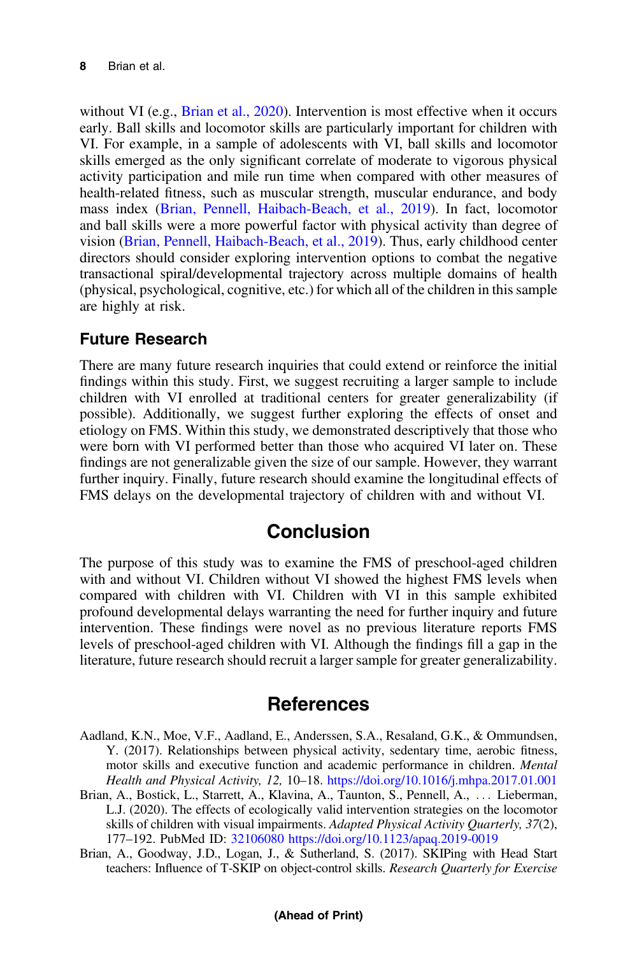<span id="page-8-0"></span>without VI (e.g., Brian et al., 2020). Intervention is most effective when it occurs early. Ball skills and locomotor skills are particularly important for children with VI. For example, in a sample of adolescents with VI, ball skills and locomotor skills emerged as the only significant correlate of moderate to vigorous physical activity participation and mile run time when compared with other measures of health-related fitness, such as muscular strength, muscular endurance, and body mass index ([Brian, Pennell, Haibach-Beach, et al., 2019\)](#page-9-0). In fact, locomotor and ball skills were a more powerful factor with physical activity than degree of vision [\(Brian, Pennell, Haibach-Beach, et al., 2019](#page-9-0)). Thus, early childhood center directors should consider exploring intervention options to combat the negative transactional spiral/developmental trajectory across multiple domains of health (physical, psychological, cognitive, etc.) for which all of the children in this sample are highly at risk.

### Future Research

There are many future research inquiries that could extend or reinforce the initial findings within this study. First, we suggest recruiting a larger sample to include children with VI enrolled at traditional centers for greater generalizability (if possible). Additionally, we suggest further exploring the effects of onset and etiology on FMS. Within this study, we demonstrated descriptively that those who were born with VI performed better than those who acquired VI later on. These findings are not generalizable given the size of our sample. However, they warrant further inquiry. Finally, future research should examine the longitudinal effects of FMS delays on the developmental trajectory of children with and without VI.

## Conclusion

The purpose of this study was to examine the FMS of preschool-aged children with and without VI. Children without VI showed the highest FMS levels when compared with children with VI. Children with VI in this sample exhibited profound developmental delays warranting the need for further inquiry and future intervention. These findings were novel as no previous literature reports FMS levels of preschool-aged children with VI. Although the findings fill a gap in the literature, future research should recruit a larger sample for greater generalizability.

## References

Aadland, K.N., Moe, V.F., Aadland, E., Anderssen, S.A., Resaland, G.K., & Ommundsen, Y. (2017). Relationships between physical activity, sedentary time, aerobic fitness, motor skills and executive function and academic performance in children. Mental Health and Physical Activity, 12, 10–18. [https://doi.org/10.1016/j.mhpa.2017.01.001](https://doi.org/https://doi.org/10.1016/j.mhpa.2017.01.001)

Brian, A., Bostick, L., Starrett, A., Klavina, A., Taunton, S., Pennell, A., ::: Lieberman, L.J. (2020). The effects of ecologically valid intervention strategies on the locomotor skills of children with visual impairments. Adapted Physical Activity Quarterly, 37(2), 177–192. PubMed ID: [32106080](http://www.ncbi.nlm.nih.gov/pubmed/32106080?dopt=Abstract) [https://doi.org/10.1123/apaq.2019-0019](https://doi.org/https://doi.org/10.1123/apaq.2019-0019)

Brian, A., Goodway, J.D., Logan, J., & Sutherland, S. (2017). SKIPing with Head Start teachers: Influence of T-SKIP on object-control skills. Research Quarterly for Exercise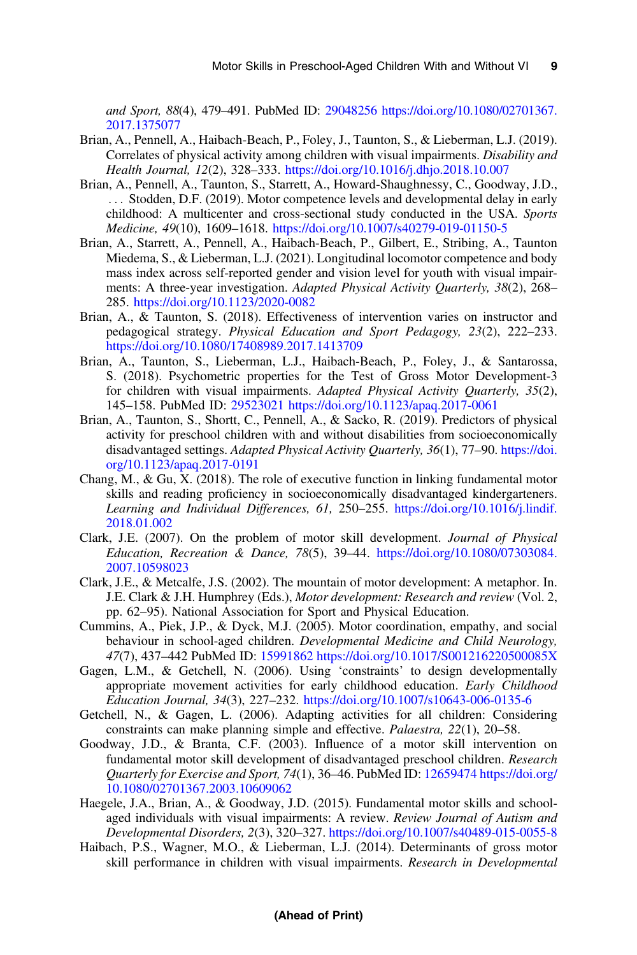<span id="page-9-0"></span>and Sport, 88(4), 479–491. PubMed ID: [29048256](http://www.ncbi.nlm.nih.gov/pubmed/29048256?dopt=Abstract) [https://doi.org/10.1080/02701367.](https://doi.org/https://doi.org/10.1080/02701367.2017.1375077) [2017.1375077](https://doi.org/https://doi.org/10.1080/02701367.2017.1375077)

- Brian, A., Pennell, A., Haibach-Beach, P., Foley, J., Taunton, S., & Lieberman, L.J. (2019). Correlates of physical activity among children with visual impairments. Disability and Health Journal, 12(2), 328–333. [https://doi.org/10.1016/j.dhjo.2018.10.007](https://doi.org/https://doi.org/10.1016/j.dhjo.2018.10.007)
- Brian, A., Pennell, A., Taunton, S., Starrett, A., Howard-Shaughnessy, C., Goodway, J.D., ... Stodden, D.F. (2019). Motor competence levels and developmental delay in early childhood: A multicenter and cross-sectional study conducted in the USA. Sports Medicine, 49(10), 1609–1618. [https://doi.org/10.1007/s40279-019-01150-5](https://doi.org/https://doi.org/10.1007/s40279-019-01150-5)
- Brian, A., Starrett, A., Pennell, A., Haibach-Beach, P., Gilbert, E., Stribing, A., Taunton Miedema, S., & Lieberman, L.J. (2021). Longitudinal locomotor competence and body mass index across self-reported gender and vision level for youth with visual impairments: A three-year investigation. Adapted Physical Activity Quarterly, 38(2), 268– 285. [https://doi.org/10.1123/2020-0082](https://doi.org/https://doi.org/10.1123/2020-0082)
- Brian, A., & Taunton, S. (2018). Effectiveness of intervention varies on instructor and pedagogical strategy. Physical Education and Sport Pedagogy, 23(2), 222–233. [https://doi.org/10.1080/17408989.2017.1413709](https://doi.org/https://doi.org/10.1080/17408989.2017.1413709)
- Brian, A., Taunton, S., Lieberman, L.J., Haibach-Beach, P., Foley, J., & Santarossa, S. (2018). Psychometric properties for the Test of Gross Motor Development-3 for children with visual impairments. Adapted Physical Activity Ouarterly, 35(2), 145–158. PubMed ID: [29523021](http://www.ncbi.nlm.nih.gov/pubmed/29523021?dopt=Abstract) [https://doi.org/10.1123/apaq.2017-0061](https://doi.org/https://doi.org/10.1123/apaq.2017-0061)
- Brian, A., Taunton, S., Shortt, C., Pennell, A., & Sacko, R. (2019). Predictors of physical activity for preschool children with and without disabilities from socioeconomically disadvantaged settings. Adapted Physical Activity Quarterly, 36(1), 77-90. [https://doi.](https://doi.org/https://doi.org/10.1123/apaq.2017-0191) [org/10.1123/apaq.2017-0191](https://doi.org/https://doi.org/10.1123/apaq.2017-0191)
- Chang, M., & Gu, X. (2018). The role of executive function in linking fundamental motor skills and reading proficiency in socioeconomically disadvantaged kindergarteners. Learning and Individual Differences, 61, 250–255. [https://doi.org/10.1016/j.lindif.](https://doi.org/https://doi.org/10.1016/j.lindif.2018.01.002) [2018.01.002](https://doi.org/https://doi.org/10.1016/j.lindif.2018.01.002)
- Clark, J.E. (2007). On the problem of motor skill development. Journal of Physical Education, Recreation & Dance, 78(5), 39–44. [https://doi.org/10.1080/07303084.](https://doi.org/https://doi.org/10.1080/07303084.2007.10598023) [2007.10598023](https://doi.org/https://doi.org/10.1080/07303084.2007.10598023)
- Clark, J.E., & Metcalfe, J.S. (2002). The mountain of motor development: A metaphor. In. J.E. Clark & J.H. Humphrey (Eds.), Motor development: Research and review (Vol. 2, pp. 62–95). National Association for Sport and Physical Education.
- Cummins, A., Piek, J.P., & Dyck, M.J. (2005). Motor coordination, empathy, and social behaviour in school-aged children. Developmental Medicine and Child Neurology, 47(7), 437–442 PubMed ID: [15991862](http://www.ncbi.nlm.nih.gov/pubmed/15991862?dopt=Abstract) [https://doi.org/10.1017/S001216220500085X](https://doi.org/https://doi.org/10.1017/S001216220500085X)
- Gagen, L.M., & Getchell, N. (2006). Using 'constraints' to design developmentally appropriate movement activities for early childhood education. Early Childhood Education Journal, 34(3), 227–232. [https://doi.org/10.1007/s10643-006-0135-6](https://doi.org/https://doi.org/10.1007/s10643-006-0135-6)
- Getchell, N., & Gagen, L. (2006). Adapting activities for all children: Considering constraints can make planning simple and effective. Palaestra, 22(1), 20–58.
- Goodway, J.D., & Branta, C.F. (2003). Influence of a motor skill intervention on fundamental motor skill development of disadvantaged preschool children. Research Quarterly for Exercise and Sport, 74(1), 36–46. PubMed ID: [12659474](http://www.ncbi.nlm.nih.gov/pubmed/12659474?dopt=Abstract) [https://doi.org/](https://doi.org/https://doi.org/10.1080/02701367.2003.10609062) [10.1080/02701367.2003.10609062](https://doi.org/https://doi.org/10.1080/02701367.2003.10609062)
- Haegele, J.A., Brian, A., & Goodway, J.D. (2015). Fundamental motor skills and schoolaged individuals with visual impairments: A review. Review Journal of Autism and Developmental Disorders, 2(3), 320–327. [https://doi.org/10.1007/s40489-015-0055-8](https://doi.org/https://doi.org/10.1007/s40489-015-0055-8)
- Haibach, P.S., Wagner, M.O., & Lieberman, L.J. (2014). Determinants of gross motor skill performance in children with visual impairments. Research in Developmental